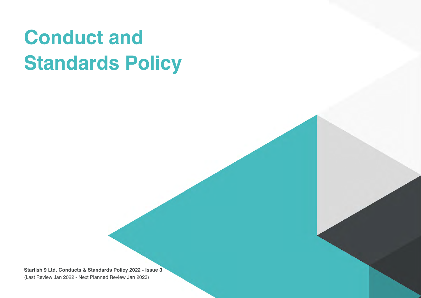# **Conduct and Standards Policy**

**Starfish 9 Ltd. Conducts & Standards Policy 2022 - Issue 3** (Last Review Jan 2022 - Next Planned Review Jan 2023)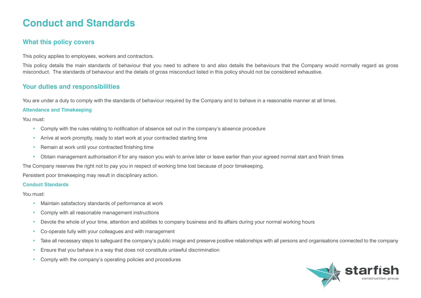# **Conduct and Standards**

# **What this policy covers**

This policy applies to employees, workers and contractors.

This policy details the main standards of behaviour that you need to adhere to and also details the behaviours that the Company would normally regard as gross misconduct. The standards of behaviour and the details of gross misconduct listed in this policy should not be considered exhaustive.

## **Your duties and responsibilities**

You are under a duty to comply with the standards of behaviour required by the Company and to behave in a reasonable manner at all times.

#### **Attendance and Timekeeping**

You must:

- Comply with the rules relating to notification of absence set out in the company's absence procedure
- Arrive at work promptly, ready to start work at your contracted starting time
- Remain at work until your contracted finishing time
- Obtain management authorisation if for any reason you wish to arrive later or leave earlier than your agreed normal start and finish times

The Company reserves the right not to pay you in respect of working time lost because of poor timekeeping.

Persistent poor timekeeping may result in disciplinary action.

#### **Conduct Standards**

You must:

- Maintain satisfactory standards of performance at work
- Comply with all reasonable management instructions
- Devote the whole of your time, attention and abilities to company business and its affairs during your normal working hours
- Co-operate fully with your colleagues and with management
- Take all necessary steps to safeguard the company's public image and preserve positive relationships with all persons and organisations connected to the company
- Ensure that you behave in a way that does not constitute unlawful discrimination
- Comply with the company's operating policies and procedures

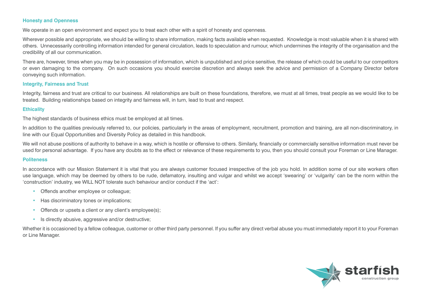#### **Honesty and Openness**

We operate in an open environment and expect you to treat each other with a spirit of honesty and openness.

Wherever possible and appropriate, we should be willing to share information, making facts available when requested. Knowledge is most valuable when it is shared with others. Unnecessarily controlling information intended for general circulation, leads to speculation and rumour, which undermines the integrity of the organisation and the credibility of all our communication.

There are, however, times when you may be in possession of information, which is unpublished and price sensitive, the release of which could be useful to our competitors or even damaging to the company. On such occasions you should exercise discretion and always seek the advice and permission of a Company Director before conveying such information.

#### **Integrity, Fairness and Trust**

Integrity, fairness and trust are critical to our business. All relationships are built on these foundations, therefore, we must at all times, treat people as we would like to be treated. Building relationships based on integrity and fairness will, in turn, lead to trust and respect.

#### **Ethicality**

The highest standards of business ethics must be employed at all times.

In addition to the qualities previously referred to, our policies, particularly in the areas of employment, recruitment, promotion and training, are all non-discriminatory, in line with our Equal Opportunities and Diversity Policy as detailed in this handbook.

We will not abuse positions of authority to behave in a way, which is hostile or offensive to others. Similarly, financially or commercially sensitive information must never be used for personal advantage. If you have any doubts as to the effect or relevance of these requirements to you, then you should consult your Foreman or Line Manager.

#### **Politeness**

In accordance with our Mission Statement it is vital that you are always customer focused irrespective of the job you hold. In addition some of our site workers often use language, which may be deemed by others to be rude, defamatory, insulting and vulgar and whilst we accept 'swearing' or 'vulgarity' can be the norm within the 'construction' industry, we WILL NOT tolerate such behaviour and/or conduct if the 'act':

- Offends another employee or colleague;
- Has discriminatory tones or implications;
- Offends or upsets a client or any client's employee(s);
- Is directly abusive, aggressive and/or destructive;

Whether it is occasioned by a fellow colleague, customer or other third party personnel. If you suffer any direct verbal abuse you must immediately report it to your Foreman or Line Manager.

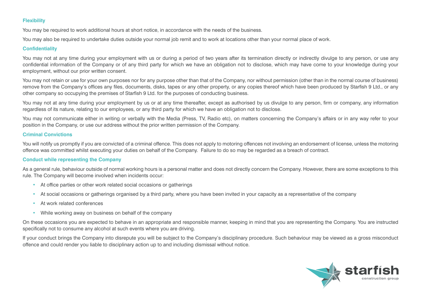#### **Flexibility**

You may be required to work additional hours at short notice, in accordance with the needs of the business.

You may also be required to undertake duties outside your normal job remit and to work at locations other than your normal place of work.

#### **Confidentiality**

You may not at any time during your employment with us or during a period of two years after its termination directly or indirectly divulge to any person, or use any confidential information of the Company or of any third party for which we have an obligation not to disclose, which may have come to your knowledge during your employment, without our prior written consent.

You may not retain or use for your own purposes nor for any purpose other than that of the Company, nor without permission (other than in the normal course of business) remove from the Company's offices any files, documents, disks, tapes or any other property, or any copies thereof which have been produced by Starfish 9 Ltd., or any other company so occupying the premises of Starfish 9 Ltd. for the purposes of conducting business.

You may not at any time during your employment by us or at any time thereafter, except as authorised by us divulge to any person, firm or company, any information regardless of its nature, relating to our employees, or any third party for which we have an obligation not to disclose.

You may not communicate either in writing or verbally with the Media (Press, TV, Radio etc), on matters concerning the Company's affairs or in any way refer to your position in the Company, or use our address without the prior written permission of the Company.

#### **Criminal Convictions**

You will notify us promptly if you are convicted of a criminal offence. This does not apply to motoring offences not involving an endorsement of license, unless the motoring offence was committed whilst executing your duties on behalf of the Company. Failure to do so may be regarded as a breach of contract.

#### **Conduct while representing the Company**

As a general rule, behaviour outside of normal working hours is a personal matter and does not directly concern the Company. However, there are some exceptions to this rule. The Company will become involved when incidents occur:

- At office parties or other work related social occasions or gatherings
- At social occasions or gatherings organised by a third party, where you have been invited in your capacity as a representative of the company
- At work related conferences
- While working away on business on behalf of the company

On these occasions you are expected to behave in an appropriate and responsible manner, keeping in mind that you are representing the Company. You are instructed specifically not to consume any alcohol at such events where you are driving.

If your conduct brings the Company into disrepute you will be subject to the Company's disciplinary procedure. Such behaviour may be viewed as a gross misconduct offence and could render you liable to disciplinary action up to and including dismissal without notice.

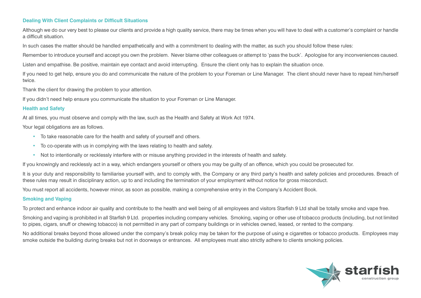#### **Dealing With Client Complaints or Difficult Situations**

Although we do our very best to please our clients and provide a high quality service, there may be times when you will have to deal with a customer's complaint or handle a difficult situation.

In such cases the matter should be handled empathetically and with a commitment to dealing with the matter, as such you should follow these rules:

Remember to introduce yourself and accept you own the problem. Never blame other colleagues or attempt to 'pass the buck'. Apologise for any inconveniences caused.

Listen and empathise. Be positive, maintain eye contact and avoid interrupting. Ensure the client only has to explain the situation once.

If you need to get help, ensure you do and communicate the nature of the problem to your Foreman or Line Manager. The client should never have to repeat him/herself twice.

Thank the client for drawing the problem to your attention.

If you didn't need help ensure you communicate the situation to your Foreman or Line Manager.

#### **Health and Safety**

At all times, you must observe and comply with the law, such as the Health and Safety at Work Act 1974.

Your legal obligations are as follows.

- To take reasonable care for the health and safety of yourself and others.
- To co-operate with us in complying with the laws relating to health and safety.
- Not to intentionally or recklessly interfere with or misuse anything provided in the interests of health and safety.

If you knowingly and recklessly act in a way, which endangers yourself or others you may be guilty of an offence, which you could be prosecuted for.

It is your duty and responsibility to familiarise yourself with, and to comply with, the Company or any third party's health and safety policies and procedures. Breach of these rules may result in disciplinary action, up to and including the termination of your employment without notice for gross misconduct.

You must report all accidents, however minor, as soon as possible, making a comprehensive entry in the Company's Accident Book.

#### **Smoking and Vaping**

To protect and enhance indoor air quality and contribute to the health and well being of all employees and visitors Starfish 9 Ltd shall be totally smoke and vape free.

Smoking and vaping is prohibited in all Starfish 9 Ltd. properties including company vehicles. Smoking, vaping or other use of tobacco products (including, but not limited to pipes, cigars, snuff or chewing tobacco) is not permitted in any part of company buildings or in vehicles owned, leased, or rented to the company.

No additional breaks beyond those allowed under the company's break policy may be taken for the purpose of using e cigarettes or tobacco products. Employees may smoke outside the building during breaks but not in doorways or entrances. All employees must also strictly adhere to clients smoking policies.

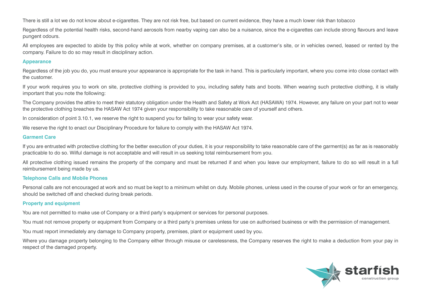There is still a lot we do not know about e-cigarettes. They are not risk free, but based on current evidence, they have a much lower risk than tobacco

Regardless of the potential health risks, second-hand aerosols from nearby vaping can also be a nuisance, since the e-cigarettes can include strong flavours and leave pungent odours.

All employees are expected to abide by this policy while at work, whether on company premises, at a customer's site, or in vehicles owned, leased or rented by the company. Failure to do so may result in disciplinary action.

#### **Appearance**

Regardless of the job you do, you must ensure your appearance is appropriate for the task in hand. This is particularly important, where you come into close contact with the customer.

If your work requires you to work on site, protective clothing is provided to you, including safety hats and boots. When wearing such protective clothing, it is vitally important that you note the following:

The Company provides the attire to meet their statutory obligation under the Health and Safety at Work Act (HASAWA) 1974. However, any failure on your part not to wear the protective clothing breaches the HASAW Act 1974 given your responsibility to take reasonable care of yourself and others.

In consideration of point 3.10.1, we reserve the right to suspend you for failing to wear your safety wear.

We reserve the right to enact our Disciplinary Procedure for failure to comply with the HASAW Act 1974.

#### **Garment Care**

If you are entrusted with protective clothing for the better execution of your duties, it is your responsibility to take reasonable care of the garment(s) as far as is reasonably practicable to do so. Wilful damage is not acceptable and will result in us seeking total reimbursement from you.

All protective clothing issued remains the property of the company and must be returned if and when you leave our employment, failure to do so will result in a full reimbursement being made by us.

#### **Telephone Calls and Mobile Phones**

Personal calls are not encouraged at work and so must be kept to a minimum whilst on duty. Mobile phones, unless used in the course of your work or for an emergency, should be switched off and checked during break periods.

#### **Property and equipment**

You are not permitted to make use of Company or a third party's equipment or services for personal purposes.

You must not remove property or equipment from Company or a third party's premises unless for use on authorised business or with the permission of management.

You must report immediately any damage to Company property, premises, plant or equipment used by you.

Where you damage property belonging to the Company either through misuse or carelessness, the Company reserves the right to make a deduction from your pay in respect of the damaged property.

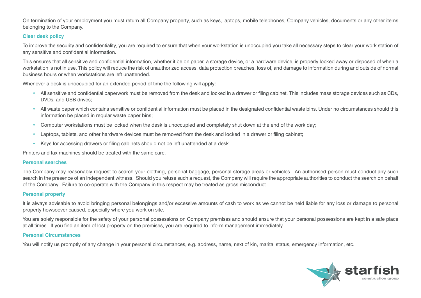On termination of your employment you must return all Company property, such as keys, laptops, mobile telephones, Company vehicles, documents or any other items belonging to the Company.

#### **Clear desk policy**

To improve the security and confidentiality, you are required to ensure that when your workstation is unoccupied you take all necessary steps to clear your work station of any sensitive and confidential information.

This ensures that all sensitive and confidential information, whether it be on paper, a storage device, or a hardware device, is properly locked away or disposed of when a workstation is not in use. This policy will reduce the risk of unauthorized access, data protection breaches, loss of, and damage to information during and outside of normal business hours or when workstations are left unattended.

Whenever a desk is unoccupied for an extended period of time the following will apply:

- All sensitive and confidential paperwork must be removed from the desk and locked in a drawer or filing cabinet. This includes mass storage devices such as CDs, DVDs, and USB drives;
- All waste paper which contains sensitive or confidential information must be placed in the designated confidential waste bins. Under no circumstances should this information be placed in regular waste paper bins;
- Computer workstations must be locked when the desk is unoccupied and completely shut down at the end of the work day;
- Laptops, tablets, and other hardware devices must be removed from the desk and locked in a drawer or filing cabinet;
- Keys for accessing drawers or filing cabinets should not be left unattended at a desk.

Printers and fax machines should be treated with the same care.

#### **Personal searches**

The Company may reasonably request to search your clothing, personal baggage, personal storage areas or vehicles. An authorised person must conduct any such search in the presence of an independent witness. Should you refuse such a request, the Company will require the appropriate authorities to conduct the search on behalf of the Company. Failure to co-operate with the Company in this respect may be treated as gross misconduct.

#### **Personal property**

It is always advisable to avoid bringing personal belongings and/or excessive amounts of cash to work as we cannot be held liable for any loss or damage to personal property howsoever caused, especially where you work on site.

You are solely responsible for the safety of your personal possessions on Company premises and should ensure that your personal possessions are kept in a safe place at all times. If you find an item of lost property on the premises, you are required to inform management immediately.

#### **Personal Circumstances**

You will notify us promptly of any change in your personal circumstances, e.g. address, name, next of kin, marital status, emergency information, etc.

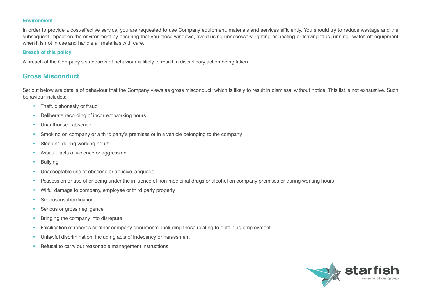#### **Environment**

In order to provide a cost-effective service, you are requested to use Company equipment, materials and services efficiently. You should try to reduce wastage and the subsequent impact on the environment by ensuring that you close windows, avoid using unnecessary lighting or heating or leaving taps running, switch off equipment when it is not in use and handle all materials with care.

#### **Breach of this policy**

A breach of the Company's standards of behaviour is likely to result in disciplinary action being taken.

### **Gross Misconduct**

Set out below are details of behaviour that the Company views as gross misconduct, which is likely to result in dismissal without notice. This list is not exhaustive. Such behaviour includes:

- Theft, dishonesty or fraud
- Deliberate recording of incorrect working hours
- Unauthorised absence
- Smoking on company or a third party's premises or in a vehicle belonging to the company
- Sleeping during working hours
- Assault, acts of violence or aggression
- Bullying
- Unacceptable use of obscene or abusive language
- Possession or use of or being under the influence of non-medicinal drugs or alcohol on company premises or during working hours
- Wilful damage to company, employee or third party property
- Serious insubordination
- Serious or gross negligence
- Bringing the company into disrepute
- Falsification of records or other company documents, including those relating to obtaining employment
- Unlawful discrimination, including acts of indecency or harassment
- Refusal to carry out reasonable management instructions